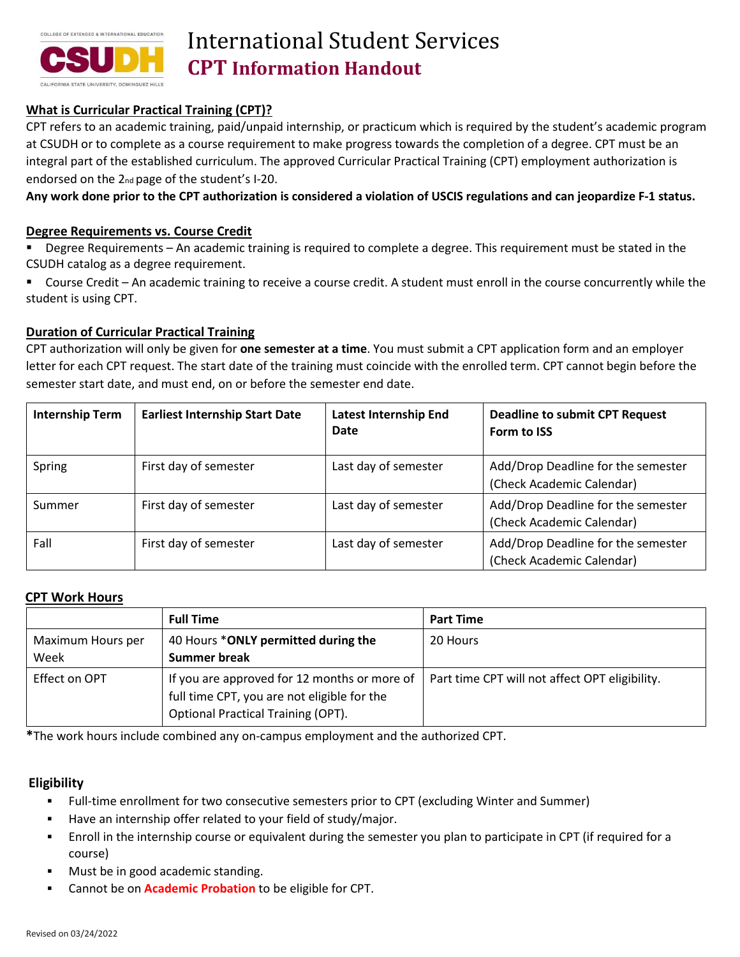

# International Student Services **CPT Information Handout**

# **What is Curricular Practical Training (CPT)?**

CPT refers to an academic training, paid/unpaid internship, or practicum which is required by the student's academic program at CSUDH or to complete as a course requirement to make progress towards the completion of a degree. CPT must be an integral part of the established curriculum. The approved Curricular Practical Training (CPT) employment authorization is endorsed on the 2nd page of the student's I-20.

**Any work done prior to the CPT authorization is considered a violation of USCIS regulations and can jeopardize F-1 status.**

### **Degree Requirements vs. Course Credit**

- Degree Requirements An academic training is required to complete a degree. This requirement must be stated in the CSUDH catalog as a degree requirement.
- Course Credit An academic training to receive a course credit. A student must enroll in the course concurrently while the student is using CPT.

# **Duration of Curricular Practical Training**

CPT authorization will only be given for **one semester at a time**. You must submit a CPT application form and an employer letter for each CPT request. The start date of the training must coincide with the enrolled term. CPT cannot begin before the semester start date, and must end, on or before the semester end date.

| <b>Internship Term</b> | <b>Earliest Internship Start Date</b> | <b>Latest Internship End</b><br>Date | <b>Deadline to submit CPT Request</b><br>Form to ISS            |
|------------------------|---------------------------------------|--------------------------------------|-----------------------------------------------------------------|
| Spring                 | First day of semester                 | Last day of semester                 | Add/Drop Deadline for the semester<br>(Check Academic Calendar) |
| Summer                 | First day of semester                 | Last day of semester                 | Add/Drop Deadline for the semester<br>(Check Academic Calendar) |
| Fall                   | First day of semester                 | Last day of semester                 | Add/Drop Deadline for the semester<br>(Check Academic Calendar) |

#### **CPT Work Hours**

|                           | <b>Full Time</b>                                                                                                                         | <b>Part Time</b>                               |
|---------------------------|------------------------------------------------------------------------------------------------------------------------------------------|------------------------------------------------|
| Maximum Hours per<br>Week | 40 Hours *ONLY permitted during the<br>Summer break                                                                                      | 20 Hours                                       |
| Effect on OPT             | If you are approved for 12 months or more of<br>full time CPT, you are not eligible for the<br><b>Optional Practical Training (OPT).</b> | Part time CPT will not affect OPT eligibility. |

**\***The work hours include combined any on-campus employment and the authorized CPT.

### **Eligibility**

- Full-time enrollment for two consecutive semesters prior to CPT (excluding Winter and Summer)
- Have an internship offer related to your field of study/major.
- Enroll in the internship course or equivalent during the semester you plan to participate in CPT (if required for a course)
- Must be in good academic standing.
- Cannot be on **Academic Probation** to be eligible for CPT.